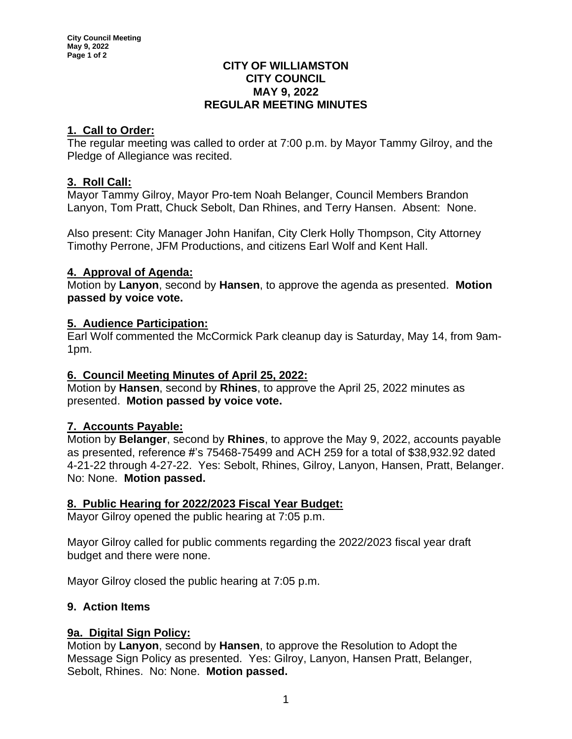### **CITY OF WILLIAMSTON CITY COUNCIL MAY 9, 2022 REGULAR MEETING MINUTES**

# **1. Call to Order:**

The regular meeting was called to order at 7:00 p.m. by Mayor Tammy Gilroy, and the Pledge of Allegiance was recited.

# **3. Roll Call:**

Mayor Tammy Gilroy, Mayor Pro-tem Noah Belanger, Council Members Brandon Lanyon, Tom Pratt, Chuck Sebolt, Dan Rhines, and Terry Hansen. Absent: None.

Also present: City Manager John Hanifan, City Clerk Holly Thompson, City Attorney Timothy Perrone, JFM Productions, and citizens Earl Wolf and Kent Hall.

## **4. Approval of Agenda:**

Motion by **Lanyon**, second by **Hansen**, to approve the agenda as presented. **Motion passed by voice vote.**

## **5. Audience Participation:**

Earl Wolf commented the McCormick Park cleanup day is Saturday, May 14, from 9am-1pm.

## **6. Council Meeting Minutes of April 25, 2022:**

Motion by **Hansen**, second by **Rhines**, to approve the April 25, 2022 minutes as presented. **Motion passed by voice vote.**

# **7. Accounts Payable:**

Motion by **Belanger**, second by **Rhines**, to approve the May 9, 2022, accounts payable as presented, reference #'s 75468-75499 and ACH 259 for a total of \$38,932.92 dated 4-21-22 through 4-27-22. Yes: Sebolt, Rhines, Gilroy, Lanyon, Hansen, Pratt, Belanger. No: None. **Motion passed.**

## **8. Public Hearing for 2022/2023 Fiscal Year Budget:**

Mayor Gilroy opened the public hearing at 7:05 p.m.

Mayor Gilroy called for public comments regarding the 2022/2023 fiscal year draft budget and there were none.

Mayor Gilroy closed the public hearing at 7:05 p.m.

# **9. Action Items**

# **9a. Digital Sign Policy:**

Motion by **Lanyon**, second by **Hansen**, to approve the Resolution to Adopt the Message Sign Policy as presented. Yes: Gilroy, Lanyon, Hansen Pratt, Belanger, Sebolt, Rhines. No: None. **Motion passed.**